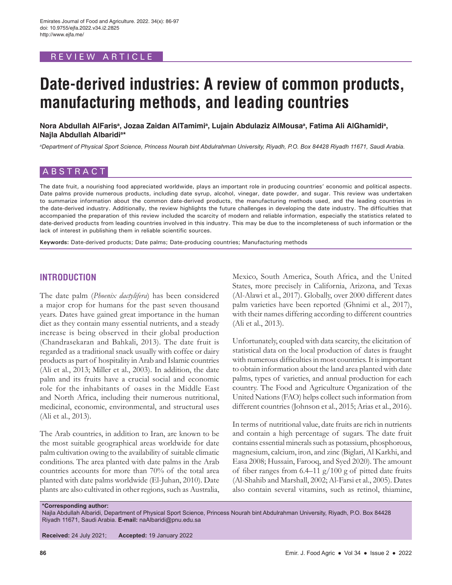## REVIEW ARTICLE

# **Date-derived industries: A review of common products, manufacturing methods, and leading countries**

Nora Abdullah AlFarisª, Jozaa Zaidan AlTamimiª, Lujain Abdulaziz AlMousaª, Fatima Ali AlGhamidiª, **Najla Abdullah Albaridia \***

*a Department of Physical Sport Science, Princess Nourah bint Abdulrahman University, Riyadh, P.O. Box 84428 Riyadh 11671, Saudi Arabia.*

# ABSTRACT

The date fruit, a nourishing food appreciated worldwide, plays an important role in producing countries' economic and political aspects. Date palms provide numerous products, including date syrup, alcohol, vinegar, date powder, and sugar. This review was undertaken to summarize information about the common date-derived products, the manufacturing methods used, and the leading countries in the date-derived industry. Additionally, the review highlights the future challenges in developing the date industry. The difficulties that accompanied the preparation of this review included the scarcity of modern and reliable information, especially the statistics related to date-derived products from leading countries involved in this industry. This may be due to the incompleteness of such information or the lack of interest in publishing them in reliable scientific sources.

**Keywords:** Date-derived products; Date palms; Date-producing countries; Manufacturing methods

## **INTRODUCTION**

The date palm (*Phoenix dactylifera*) has been considered a major crop for humans for the past seven thousand years. Dates have gained great importance in the human diet as they contain many essential nutrients, and a steady increase is being observed in their global production (Chandrasekaran and Bahkali, 2013). The date fruit is regarded as a traditional snack usually with coffee or dairy products as part of hospitality in Arab and Islamic countries (Ali et al., 2013; Miller et al., 2003). In addition, the date palm and its fruits have a crucial social and economic role for the inhabitants of oases in the Middle East and North Africa, including their numerous nutritional, medicinal, economic, environmental, and structural uses (Ali et al., 2013).

The Arab countries, in addition to Iran, are known to be the most suitable geographical areas worldwide for date palm cultivation owing to the availability of suitable climatic conditions. The area planted with date palms in the Arab countries accounts for more than 70% of the total area planted with date palms worldwide (El-Juhan, 2010). Date plants are also cultivated in other regions, such as Australia, Mexico, South America, South Africa, and the United States, more precisely in California, Arizona, and Texas (Al-Alawi et al., 2017). Globally, over 2000 different dates palm varieties have been reported (Ghnimi et al., 2017), with their names differing according to different countries (Ali et al., 2013).

Unfortunately, coupled with data scarcity, the elicitation of statistical data on the local production of dates is fraught with numerous difficulties in most countries. It is important to obtain information about the land area planted with date palms, types of varieties, and annual production for each country. The Food and Agriculture Organization of the United Nations (FAO) helps collect such information from different countries (Johnson et al., 2015; Arias et al., 2016).

In terms of nutritional value, date fruits are rich in nutrients and contain a high percentage of sugars. The date fruit contains essential minerals such as potassium, phosphorous, magnesium, calcium, iron, and zinc (Biglari, Al Karkhi, and Easa 2008; Hussain, Farooq, and Syed 2020). The amount of fiber ranges from  $6.4-11$  g/ $100$  g of pitted date fruits (Al-Shahib and Marshall, 2002; Al-Farsi et al., 2005). Dates also contain several vitamins, such as retinol, thiamine,

**\*Corresponding author:**

Najla Abdullah Albaridi, Department of Physical Sport Science, Princess Nourah bint Abdulrahman University, Riyadh, P.O. Box 84428 Riyadh 11671, Saudi Arabia. **E-mail:** naAlbaridi@pnu.edu.sa

**Received:** 24 July 2021; **Accepted:** 19 January 2022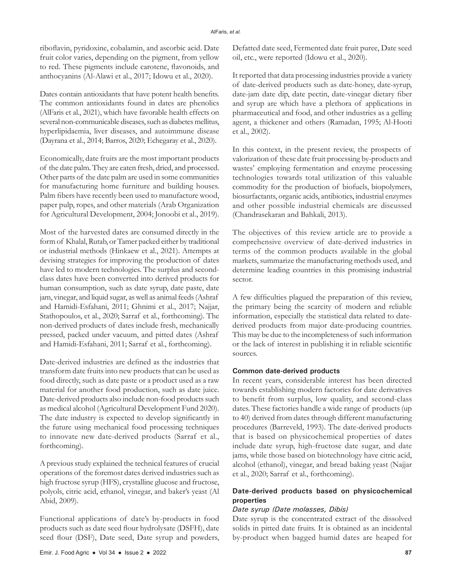riboflavin, pyridoxine, cobalamin, and ascorbic acid. Date fruit color varies, depending on the pigment, from yellow to red. These pigments include carotene, flavonoids, and anthocyanins (Al-Alawi et al., 2017; Idowu et al., 2020).

Dates contain antioxidants that have potent health benefits. The common antioxidants found in dates are phenolics (AlFaris et al., 2021), which have favorable health effects on several non-communicable diseases, such as diabetes mellitus, hyperlipidaemia, liver diseases, and autoimmune disease (Dayrana et al., 2014; Barros, 2020; Echegaray et al., 2020).

Economically, date fruits are the most important products of the date palm. They are eaten fresh, dried, and processed. Other parts of the date palm are used in some communities for manufacturing home furniture and building houses. Palm fibers have recently been used to manufacture wood, paper pulp, ropes, and other materials (Arab Organization for Agricultural Development, 2004; Jonoobi et al., 2019).

Most of the harvested dates are consumed directly in the form of Khalal, Rutab, or Tamer packed either by traditional or industrial methods (Hinkaew et al., 2021). Attempts at devising strategies for improving the production of dates have led to modern technologies. The surplus and secondclass dates have been converted into derived products for human consumption, such as date syrup, date paste, date jam, vinegar, and liquid sugar, as well as animal feeds (Ashraf and Hamidi-Esfahani, 2011; Ghnimi et al., 2017; Najjar, Stathopoulos, et al., 2020; Sarraf et al., forthcoming). The non-derived products of dates include fresh, mechanically pressed, packed under vacuum, and pitted dates (Ashraf and Hamidi-Esfahani, 2011; Sarraf et al., forthcoming).

Date-derived industries are defined as the industries that transform date fruits into new products that can be used as food directly, such as date paste or a product used as a raw material for another food production, such as date juice. Date-derived products also include non-food products such as medical alcohol (Agricultural Development Fund 2020). The date industry is expected to develop significantly in the future using mechanical food processing techniques to innovate new date-derived products (Sarraf et al., forthcoming).

A previous study explained the technical features of crucial operations of the foremost dates derived industries such as high fructose syrup (HFS), crystalline glucose and fructose, polyols, citric acid, ethanol, vinegar, and baker's yeast (Al Abid, 2009).

Functional applications of date's by-products in food products such as date seed flour hydrolysate (DSFH), date seed flour (DSF), Date seed, Date syrup and powders, Defatted date seed, Fermented date fruit puree, Date seed oil, etc., were reported (Idowu et al., 2020).

It reported that data processing industries provide a variety of date-derived products such as date-honey, date-syrup, date-jam date dip, date pectin, date-vinegar dietary fiber and syrup are which have a plethora of applications in pharmaceutical and food, and other industries as a gelling agent, a thickener and others (Ramadan, 1995; Al-Hooti et al., 2002).

In this context, in the present review, the prospects of valorization of these date fruit processing by-products and wastes' employing fermentation and enzyme processing technologies towards total utilization of this valuable commodity for the production of biofuels, biopolymers, biosurfactants, organic acids, antibiotics, industrial enzymes and other possible industrial chemicals are discussed (Chandrasekaran and Bahkali, 2013).

The objectives of this review article are to provide a comprehensive overview of date-derived industries in terms of the common products available in the global markets, summarize the manufacturing methods used, and determine leading countries in this promising industrial sector.

A few difficulties plagued the preparation of this review, the primary being the scarcity of modern and reliable information, especially the statistical data related to datederived products from major date-producing countries. This may be due to the incompleteness of such information or the lack of interest in publishing it in reliable scientific sources.

#### **Common date-derived products**

In recent years, considerable interest has been directed towards establishing modern factories for date derivatives to benefit from surplus, low quality, and second-class dates. These factories handle a wide range of products (up to 40) derived from dates through different manufacturing procedures (Barreveld, 1993). The date-derived products that is based on physicochemical properties of dates include date syrup, high-fructose date sugar, and date jams, while those based on biotechnology have citric acid, alcohol (ethanol), vinegar, and bread baking yeast (Najjar et al., 2020; Sarraf et al., forthcoming).

## **Date-derived products based on physicochemical properties**

#### *Date syrup (Date molasses, Dibis)*

Date syrup is the concentrated extract of the dissolved solids in pitted date fruits. It is obtained as an incidental by-product when bagged humid dates are heaped for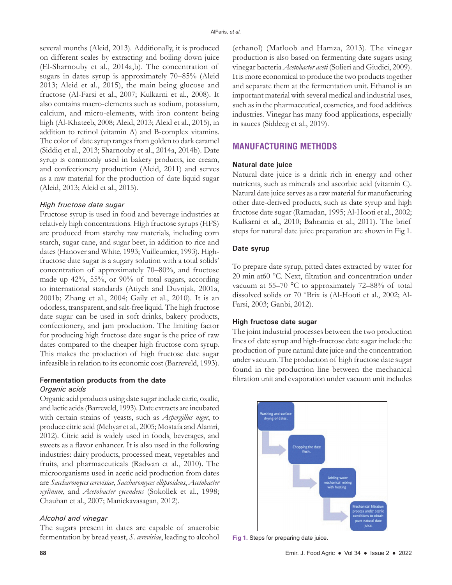several months (Aleid, 2013). Additionally, it is produced on different scales by extracting and boiling down juice (El-Sharnouby et al., 2014a,b). The concentration of sugars in dates syrup is approximately 70–85% (Aleid 2013; Aleid et al., 2015), the main being glucose and fructose (Al-Farsi et al., 2007; Kulkarni et al., 2008). It also contains macro-elements such as sodium, potassium, calcium, and micro-elements, with iron content being high (Al-Khateeb, 2008; Aleid, 2013; Aleid et al., 2015), in addition to retinol (vitamin A) and B-complex vitamins. The color of date syrup ranges from golden to dark caramel (Siddiq et al., 2013; Sharnouby et al., 2014a, 2014b). Date syrup is commonly used in bakery products, ice cream, and confectionery production (Aleid, 2011) and serves as a raw material for the production of date liquid sugar (Aleid, 2013; Aleid et al., 2015).

#### *High fructose date sugar*

Fructose syrup is used in food and beverage industries at relatively high concentrations. High fructose syrups (HFS) are produced from starchy raw materials, including corn starch, sugar cane, and sugar beet, in addition to rice and dates (Hanover and White, 1993; Vuilleumier, 1993). Highfructose date sugar is a sugary solution with a total solids' concentration of approximately 70–80%, and fructose made up 42%, 55%, or 90% of total sugars, according to international standards (Atiyeh and Duvnjak, 2001a, 2001b; Zhang et al., 2004; Gaily et al., 2010). It is an odorless, transparent, and salt-free liquid. The high fructose date sugar can be used in soft drinks, bakery products, confectionery, and jam production. The limiting factor for producing high fructose date sugar is the price of raw dates compared to the cheaper high fructose corn syrup. This makes the production of high fructose date sugar infeasible in relation to its economic cost (Barreveld, 1993).

# **Fermentation products from the date**

## *Organic acids*

Organic acid products using date sugar include citric, oxalic, and lactic acids (Barreveld, 1993). Date extracts are incubated with certain strains of yeasts, such as *Aspergillus niger*, to produce citric acid (Mehyar et al., 2005; Mostafa and Alamri, 2012). Citric acid is widely used in foods, beverages, and sweets as a flavor enhancer. It is also used in the following industries: dairy products, processed meat, vegetables and fruits, and pharmaceuticals (Radwan et al., 2010). The microorganisms used in acetic acid production from dates are *Saccharomyces cerevisiae*, *Saccharomyces ellipsoideus*, *Acetobacter xylinum*, and *Acetobacter cycendens* (Sokollek et al., 1998; Chauhan et al., 2007; Manickavasagan, 2012).

#### *Alcohol and vinegar*

The sugars present in dates are capable of anaerobic fermentation by bread yeast, *S. cerevisiae*, leading to alcohol (ethanol) (Matloob and Hamza, 2013). The vinegar production is also based on fermenting date sugars using vinegar bacteria *Acetobacter aceti* (Solieri and Giudici, 2009). It is more economical to produce the two products together and separate them at the fermentation unit. Ethanol is an important material with several medical and industrial uses, such as in the pharmaceutical, cosmetics, and food additives industries. Vinegar has many food applications, especially in sauces (Siddeeg et al., 2019).

# **MANUFACTURING METHODS**

#### **Natural date juice**

Natural date juice is a drink rich in energy and other nutrients, such as minerals and ascorbic acid (vitamin C). Natural date juice serves as a raw material for manufacturing other date-derived products, such as date syrup and high fructose date sugar (Ramadan, 1995; Al-Hooti et al., 2002; Kulkarni et al., 2010; Bahramia et al., 2011). The brief steps for natural date juice preparation are shown in Fig 1.

#### **Date syrup**

To prepare date syrup, pitted dates extracted by water for 20 min at60 °C. Next, filtration and concentration under vacuum at 55–70 °C to approximately 72–88% of total dissolved solids or 70 °Brix is (Al-Hooti et al., 2002; Al-Farsi, 2003; Ganbi, 2012).

#### **High fructose date sugar**

The joint industrial processes between the two production lines of date syrup and high-fructose date sugar include the production of pure natural date juice and the concentration under vacuum. The production of high fructose date sugar found in the production line between the mechanical filtration unit and evaporation under vacuum unit includes



**Fig 1.** Steps for preparing date juice.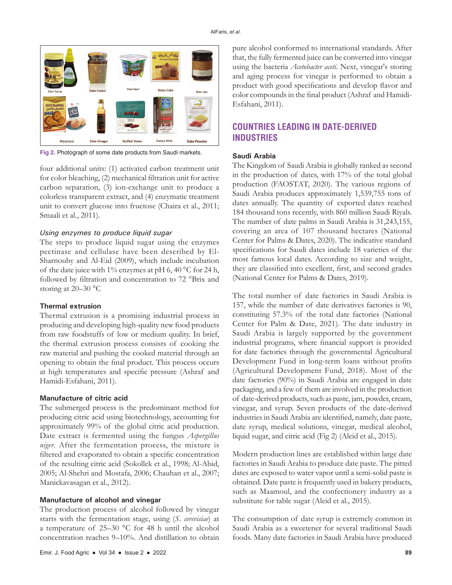

**Fig 2.** Photograph of some date products from Saudi markets.

four additional units: (1) activated carbon treatment unit for color bleaching, (2) mechanical filtration unit for active carbon separation, (3) ion-exchange unit to produce a colorless transparent extract, and (4) enzymatic treatment unit to convert glucose into fructose (Chaira et al., 2011; Smaali et al., 2011).

#### *Using enzymes to produce liquid sugar*

The steps to produce liquid sugar using the enzymes pectinase and cellulase have been described by El-Sharnouby and Al-Eid (2009), which include incubation of the date juice with 1% enzymes at pH 6, 40  $^{\circ}$ C for 24 h, followed by filtration and concentration to 72 °Brix and storing at 20–30 °C

#### **Thermal extrusion**

Thermal extrusion is a promising industrial process in producing and developing high-quality new food products from raw foodstuffs of low or medium quality. In brief, the thermal extrusion process consists of cooking the raw material and pushing the cooked material through an opening to obtain the final product. This process occurs at high temperatures and specific pressure (Ashraf and Hamidi-Esfahani, 2011).

#### **Manufacture of citric acid**

The submerged process is the predominant method for producing citric acid using biotechnology, accounting for approximately 99% of the global citric acid production. Date extract is fermented using the fungus *Aspergillus niger*. After the fermentation process, the mixture is filtered and evaporated to obtain a specific concentration of the resulting citric acid (Sokollek et al., 1998; Al-Abid, 2005; Al-Shehri and Mostafa, 2006; Chauhan et al., 2007; Manickavasagan et al., 2012).

#### **Manufacture of alcohol and vinegar**

The production process of alcohol followed by vinegar starts with the fermentation stage, using (*S. cerevisiae*) at a temperature of 25–30 °C for 48 h until the alcohol concentration reaches 9–10%. And distillation to obtain

pure alcohol conformed to international standards. After that, the fully fermented juice can be converted into vinegar using the bacteria *Acetobacter aceti*. Next, vinegar's storing and aging process for vinegar is performed to obtain a product with good specifications and develop flavor and color compounds in the final product (Ashraf and Hamidi-Esfahani, 2011).

# **COUNTRIES LEADING IN DATE-DERIVED INDUSTRIES**

#### **Saudi Arabia**

The Kingdom of Saudi Arabia is globally ranked as second in the production of dates, with 17% of the total global production (FAOSTAT, 2020). The various regions of Saudi Arabia produces approximately 1,539,755 tons of dates annually. The quantity of exported dates reached 184 thousand tons recently, with 860 million Saudi Riyals. The number of date palms in Saudi Arabia is 31,243,155, covering an area of 107 thousand hectares (National Center for Palms & Dates, 2020). The indicative standard specifications for Saudi dates include 18 varieties of the most famous local dates. According to size and weight, they are classified into excellent, first, and second grades (National Center for Palms & Dates, 2019).

The total number of date factories in Saudi Arabia is 157, while the number of date derivatives factories is 90, constituting 57.3% of the total date factories (National Center for Palm & Date, 2021). The date industry in Saudi Arabia is largely supported by the government industrial programs, where financial support is provided for date factories through the governmental Agricultural Development Fund in long-term loans without profits (Agricultural Development Fund, 2018). Most of the date factories (90%) in Saudi Arabia are engaged in date packaging, and a few of them are involved in the production of date-derived products, such as paste, jam, powder, cream, vinegar, and syrup. Seven products of the date-derived industries in Saudi Arabia are identified, namely, date paste, date syrup, medical solutions, vinegar, medical alcohol, liquid sugar, and citric acid (Fig 2) (Aleid et al., 2015).

Modern production lines are established within large date factories in Saudi Arabia to produce date paste. The pitted dates are exposed to water vapor until a semi-solid paste is obtained. Date paste is frequently used in bakery products, such as Maamoul, and the confectionery industry as a substitute for table sugar (Aleid et al., 2015).

The consumption of date syrup is extremely common in Saudi Arabia as a sweetener for several traditional Saudi foods. Many date factories in Saudi Arabia have produced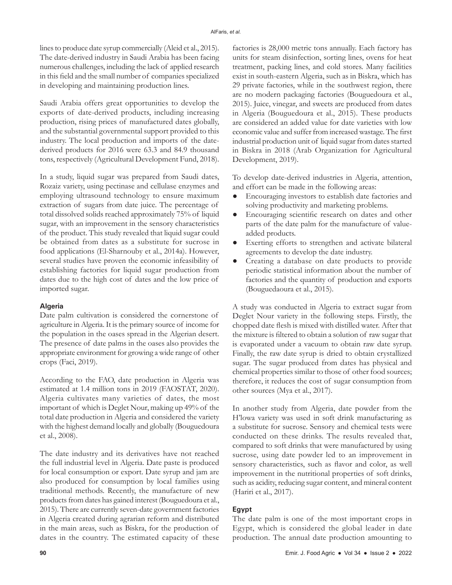lines to produce date syrup commercially (Aleid et al., 2015). The date-derived industry in Saudi Arabia has been facing numerous challenges, including the lack of applied research in this field and the small number of companies specialized in developing and maintaining production lines.

Saudi Arabia offers great opportunities to develop the exports of date-derived products, including increasing production, rising prices of manufactured dates globally, and the substantial governmental support provided to this industry. The local production and imports of the datederived products for 2016 were 63.3 and 84.9 thousand tons, respectively (Agricultural Development Fund, 2018).

In a study, liquid sugar was prepared from Saudi dates, Rozaiz variety, using pectinase and cellulase enzymes and employing ultrasound technology to ensure maximum extraction of sugars from date juice. The percentage of total dissolved solids reached approximately 75% of liquid sugar, with an improvement in the sensory characteristics of the product. This study revealed that liquid sugar could be obtained from dates as a substitute for sucrose in food applications (El-Sharnouby et al., 2014a). However, several studies have proven the economic infeasibility of establishing factories for liquid sugar production from dates due to the high cost of dates and the low price of imported sugar.

#### **Algeria**

Date palm cultivation is considered the cornerstone of agriculture in Algeria. It is the primary source of income for the population in the oases spread in the Algerian desert. The presence of date palms in the oases also provides the appropriate environment for growing a wide range of other crops (Faci, 2019).

According to the FAO, date production in Algeria was estimated at 1.4 million tons in 2019 (FAOSTAT, 2020). Algeria cultivates many varieties of dates, the most important of which is Deglet Nour, making up 49% of the total date production in Algeria and considered the variety with the highest demand locally and globally (Bouguedoura et al., 2008).

The date industry and its derivatives have not reached the full industrial level in Algeria. Date paste is produced for local consumption or export. Date syrup and jam are also produced for consumption by local families using traditional methods. Recently, the manufacture of new products from dates has gained interest (Bouguedoura et al., 2015). There are currently seven-date government factories in Algeria created during agrarian reform and distributed in the main areas, such as Biskra, for the production of dates in the country. The estimated capacity of these

factories is 28,000 metric tons annually. Each factory has units for steam disinfection, sorting lines, ovens for heat treatment, packing lines, and cold stores. Many facilities exist in south-eastern Algeria, such as in Biskra, which has 29 private factories, while in the southwest region, there are no modern packaging factories (Bouguedoura et al., 2015). Juice, vinegar, and sweets are produced from dates in Algeria (Bouguedoura et al., 2015). These products are considered an added value for date varieties with low economic value and suffer from increased wastage. The first industrial production unit of liquid sugar from dates started in Biskra in 2018 (Arab Organization for Agricultural Development, 2019).

To develop date-derived industries in Algeria, attention, and effort can be made in the following areas:

- Encouraging investors to establish date factories and solving productivity and marketing problems.
- Encouraging scientific research on dates and other parts of the date palm for the manufacture of valueadded products.
- Exerting efforts to strengthen and activate bilateral agreements to develop the date industry.
- Creating a database on date products to provide periodic statistical information about the number of factories and the quantity of production and exports (Bouguedaoura et al., 2015).

A study was conducted in Algeria to extract sugar from Deglet Nour variety in the following steps. Firstly, the chopped date flesh is mixed with distilled water. After that the mixture is filtered to obtain a solution of raw sugar that is evaporated under a vacuum to obtain raw date syrup. Finally, the raw date syrup is dried to obtain crystallized sugar. The sugar produced from dates has physical and chemical properties similar to those of other food sources; therefore, it reduces the cost of sugar consumption from other sources (Mya et al., 2017).

In another study from Algeria, date powder from the H'lowa variety was used in soft drink manufacturing as a substitute for sucrose. Sensory and chemical tests were conducted on these drinks. The results revealed that, compared to soft drinks that were manufactured by using sucrose, using date powder led to an improvement in sensory characteristics, such as flavor and color, as well improvement in the nutritional properties of soft drinks, such as acidity, reducing sugar content, and mineral content (Hariri et al., 2017).

## **Egypt**

The date palm is one of the most important crops in Egypt, which is considered the global leader in date production. The annual date production amounting to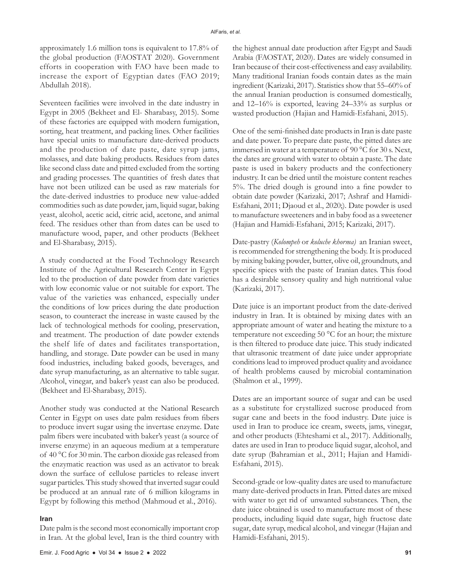approximately 1.6 million tons is equivalent to 17.8% of the global production (FAOSTAT 2020). Government efforts in cooperation with FAO have been made to increase the export of Egyptian dates (FAO 2019; Abdullah 2018).

Seventeen facilities were involved in the date industry in Egypt in 2005 (Bekheet and El- Sharabasy, 2015). Some of these factories are equipped with modern fumigation, sorting, heat treatment, and packing lines. Other facilities have special units to manufacture date-derived products and the production of date paste, date syrup jams, molasses, and date baking products. Residues from dates like second class date and pitted excluded from the sorting and grading processes. The quantities of fresh dates that have not been utilized can be used as raw materials for the date-derived industries to produce new value-added commodities such as date powder, jam, liquid sugar, baking yeast, alcohol, acetic acid, citric acid, acetone, and animal feed. The residues other than from dates can be used to manufacture wood, paper, and other products (Bekheet and El-Sharabasy, 2015).

A study conducted at the Food Technology Research Institute of the Agricultural Research Center in Egypt led to the production of date powder from date varieties with low economic value or not suitable for export. The value of the varieties was enhanced, especially under the conditions of low prices during the date production season, to counteract the increase in waste caused by the lack of technological methods for cooling, preservation, and treatment. The production of date powder extends the shelf life of dates and facilitates transportation, handling, and storage. Date powder can be used in many food industries, including baked goods, beverages, and date syrup manufacturing, as an alternative to table sugar. Alcohol, vinegar, and baker's yeast can also be produced. (Bekheet and El-Sharabasy, 2015).

Another study was conducted at the National Research Center in Egypt on uses date palm residues from fibers to produce invert sugar using the invertase enzyme. Date palm fibers were incubated with baker's yeast (a source of inverse enzyme) in an aqueous medium at a temperature of 40 °C for 30 min. The carbon dioxide gas released from the enzymatic reaction was used as an activator to break down the surface of cellulose particles to release invert sugar particles. This study showed that inverted sugar could be produced at an annual rate of 6 million kilograms in Egypt by following this method (Mahmoud et al., 2016).

#### **Iran**

Date palm is the second most economically important crop in Iran. At the global level, Iran is the third country with the highest annual date production after Egypt and Saudi Arabia (FAOSTAT, 2020). Dates are widely consumed in Iran because of their cost-effectiveness and easy availability. Many traditional Iranian foods contain dates as the main ingredient (Karizaki, 2017). Statistics show that 55–60% of the annual Iranian production is consumed domestically, and 12–16% is exported, leaving 24–33% as surplus or wasted production (Hajian and Hamidi-Esfahani, 2015).

One of the semi-finished date products in Iran is date paste and date power. To prepare date paste, the pitted dates are immersed in water at a temperature of 90 °C for 30 s. Next, the dates are ground with water to obtain a paste. The date paste is used in bakery products and the confectionery industry. It can be dried until the moisture content reaches 5%. The dried dough is ground into a fine powder to obtain date powder (Karizaki, 2017; Ashraf and Hamidi-Esfahani, 2011; Djaoud et al., 2020;). Date powder is used to manufacture sweeteners and in baby food as a sweetener (Hajian and Hamidi-Esfahani, 2015; Karizaki, 2017).

Date-pastry (*Kolompeh* or *koluche khorma)* an Iranian sweet, is recommended for strengthening the body. It is produced by mixing baking powder, butter, olive oil, groundnuts, and specific spices with the paste of Iranian dates. This food has a desirable sensory quality and high nutritional value (Karizaki, 2017).

Date juice is an important product from the date-derived industry in Iran. It is obtained by mixing dates with an appropriate amount of water and heating the mixture to a temperature not exceeding 50 °C for an hour; the mixture is then filtered to produce date juice. This study indicated that ultrasonic treatment of date juice under appropriate conditions lead to improved product quality and avoidance of health problems caused by microbial contamination (Shalmon et al., 1999).

Dates are an important source of sugar and can be used as a substitute for crystallized sucrose produced from sugar cane and beets in the food industry. Date juice is used in Iran to produce ice cream, sweets, jams, vinegar, and other products (Ehteshami et al., 2017). Additionally, dates are used in Iran to produce liquid sugar, alcohol, and date syrup (Bahramian et al., 2011; Hajian and Hamidi-Esfahani, 2015).

Second-grade or low-quality dates are used to manufacture many date-derived products in Iran. Pitted dates are mixed with water to get rid of unwanted substances. Then, the date juice obtained is used to manufacture most of these products, including liquid date sugar, high fructose date sugar, date syrup, medical alcohol, and vinegar (Hajian and Hamidi-Esfahani, 2015).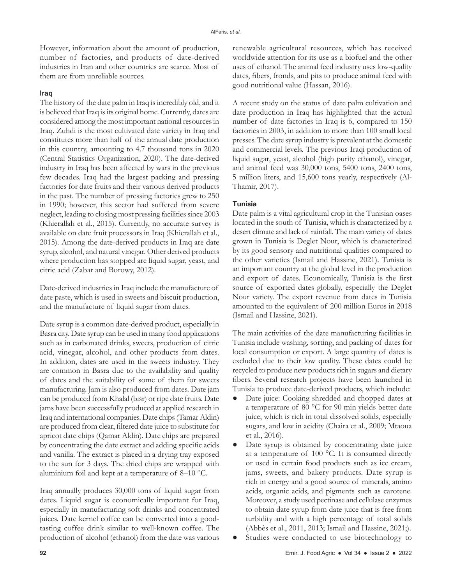However, information about the amount of production, number of factories, and products of date-derived industries in Iran and other countries are scarce. Most of them are from unreliable sources.

#### **Iraq**

The history of the date palm in Iraq is incredibly old, and it is believed that Iraq is its original home. Currently, dates are considered among the most important national resources in Iraq. Zuhdi is the most cultivated date variety in Iraq and constitutes more than half of the annual date production in this country, amounting to 4.7 thousand tons in 2020 (Central Statistics Organization, 2020). The date-derived industry in Iraq has been affected by wars in the previous few decades. Iraq had the largest packing and pressing factories for date fruits and their various derived products in the past. The number of pressing factories grew to 250 in 1990; however, this sector had suffered from severe neglect, leading to closing most pressing facilities since 2003 (Khierallah et al., 2015). Currently, no accurate survey is available on date fruit processors in Iraq (Khierallah et al., 2015). Among the date-derived products in Iraq are date syrup, alcohol, and natural vinegar. Other derived products where production has stopped are liquid sugar, yeast, and citric acid (Zabar and Borowy, 2012).

Date-derived industries in Iraq include the manufacture of date paste, which is used in sweets and biscuit production, and the manufacture of liquid sugar from dates.

Date syrup is a common date-derived product, especially in Basra city. Date syrup can be used in many food applications such as in carbonated drinks, sweets, production of citric acid, vinegar, alcohol, and other products from dates. In addition, dates are used in the sweets industry. They are common in Basra due to the availability and quality of dates and the suitability of some of them for sweets manufacturing. Jam is also produced from dates. Date jam can be produced from Khalal (bisr) or ripe date fruits. Date jams have been successfully produced at applied research in Iraq and international companies. Date chips (Tamar Aldin) are produced from clear, filtered date juice to substitute for apricot date chips (Qamar Aldin). Date chips are prepared by concentrating the date extract and adding specific acids and vanilla. The extract is placed in a drying tray exposed to the sun for 3 days. The dried chips are wrapped with aluminium foil and kept at a temperature of 8–10 °C.

Iraq annually produces 30,000 tons of liquid sugar from dates. Liquid sugar is economically important for Iraq, especially in manufacturing soft drinks and concentrated juices. Date kernel coffee can be converted into a goodtasting coffee drink similar to well-known coffee. The production of alcohol (ethanol) from the date was various

renewable agricultural resources, which has received worldwide attention for its use as a biofuel and the other uses of ethanol. The animal feed industry uses low-quality dates, fibers, fronds, and pits to produce animal feed with good nutritional value (Hassan, 2016).

A recent study on the status of date palm cultivation and date production in Iraq has highlighted that the actual number of date factories in Iraq is 6, compared to 150 factories in 2003, in addition to more than 100 small local presses. The date syrup industry is prevalent at the domestic and commercial levels. The previous Iraqi production of liquid sugar, yeast, alcohol (high purity ethanol), vinegar, and animal feed was 30,000 tons, 5400 tons, 2400 tons, 5 million liters, and 15,600 tons yearly, respectively (Al-Thamir, 2017).

#### **Tunisia**

Date palm is a vital agricultural crop in the Tunisian oases located in the south of Tunisia, which is characterized by a desert climate and lack of rainfall. The main variety of dates grown in Tunisia is Deglet Nour, which is characterized by its good sensory and nutritional qualities compared to the other varieties (Ismail and Hassine, 2021). Tunisia is an important country at the global level in the production and export of dates. Economically, Tunisia is the first source of exported dates globally, especially the Deglet Nour variety. The export revenue from dates in Tunisia amounted to the equivalent of 200 million Euros in 2018 (Ismail and Hassine, 2021).

The main activities of the date manufacturing facilities in Tunisia include washing, sorting, and packing of dates for local consumption or export. A large quantity of dates is excluded due to their low quality. These dates could be recycled to produce new products rich in sugars and dietary fibers. Several research projects have been launched in Tunisia to produce date-derived products, which include:

- Date juice: Cooking shredded and chopped dates at a temperature of 80 °C for 90 min yields better date juice, which is rich in total dissolved solids, especially sugars, and low in acidity (Chaira et al., 2009; Mtaoua et al., 2016).
- Date syrup is obtained by concentrating date juice at a temperature of 100 °C. It is consumed directly or used in certain food products such as ice cream, jams, sweets, and bakery products. Date syrup is rich in energy and a good source of minerals, amino acids, organic acids, and pigments such as carotene. Moreover, a study used pectinase and cellulase enzymes to obtain date syrup from date juice that is free from turbidity and with a high percentage of total solids (Abbès et al., 2011, 2013; Ismail and Hassine, 2021;). ● Studies were conducted to use biotechnology to
- **92** Emir. J. Food Agric Vol 34 Issue 2 2022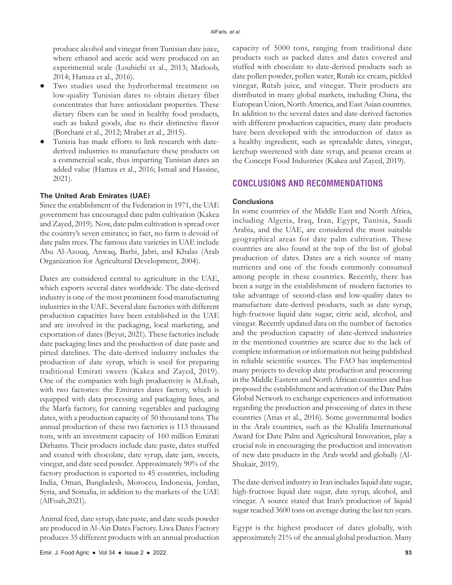produce alcohol and vinegar from Tunisian date juice, where ethanol and acetic acid were produced on an experimental scale (Louhichi et al., 2013; Matloob, 2014; Hamza et al., 2016).

- Two studies used the hydrothermal treatment on low-quality Tunisian dates to obtain dietary fiber concentrates that have antioxidant properties. These dietary fibers can be used in healthy food products, such as baked goods, due to their distinctive flavor (Borchani et al., 2012; Mrabet et al., 2015).
- Tunisia has made efforts to link research with datederived industries to manufacture these products on a commercial scale, thus imparting Tunisian dates an added value (Hamza et al., 2016; Ismail and Hassine, 2021).

#### **The United Arab Emirates (UAE)**

Since the establishment of the Federation in 1971, the UAE government has encouraged date palm cultivation (Kakea and Zayed, 2019). Now, date palm cultivation is spread over the country's seven emirates; in fact, no farm is devoid of date palm trees. The famous date varieties in UAE include Abu Al-Azouq, Anwaq, Barhi, Jabri, and Khalas (Arab Organization for Agricultural Development, 2004).

Dates are considered central to agriculture in the UAE, which exports several dates worldwide. The date-derived industry is one of the most prominent food manufacturing industries in the UAE. Several date factories with different production capacities have been established in the UAE and are involved in the packaging, local marketing, and exportation of dates (Beyut, 2021). These factories include date packaging lines and the production of date paste and pitted datelines. The date-derived industry includes the production of date syrup, which is used for preparing traditional Emirati sweets (Kakea and Zayed, 2019). One of the companies with high productivity is ALfoah, with two factories: the Emirates dates factory, which is equipped with data processing and packaging lines, and the Marfa factory, for canning vegetables and packaging dates, with a production capacity of 50 thousand tons. The annual production of these two factories is 113 thousand tons, with an investment capacity of 160 million Emirati Dirhams. Their products include date paste, dates stuffed and coated with chocolate, date syrup, date jam, sweets, vinegar, and date seed powder. Approximately 90% of the factory production is exported to 45 countries, including India, Oman, Bangladesh, Morocco, Indonesia, Jordan, Syria, and Somalia, in addition to the markets of the UAE (AlFoah,2021).

Animal feed, date syrup, date paste, and date seeds powder are produced in Al-Ain Dates Factory. Liwa Dates Factory produces 35 different products with an annual production

capacity of 5000 tons, ranging from traditional date products such as packed dates and dates covered and stuffed with chocolate to date-derived products such as date pollen powder, pollen water, Rutab ice cream, pickled vinegar, Rutab juice, and vinegar. Their products are distributed in many global markets, including China, the European Union, North America, and East Asian countries. In addition to the several dates and date-derived factories with different production capacities, many date products have been developed with the introduction of dates as a healthy ingredient, such as spreadable dates, vinegar, ketchup sweetened with date syrup, and peanut cream at the Concept Food Industries (Kakea and Zayed, 2019).

## **CONCLUSIONS AND RECOMMENDATIONS**

#### **Conclusions**

In some countries of the Middle East and North Africa, including Algeria, Iraq, Iran, Egypt, Tunisia, Saudi Arabia, and the UAE, are considered the most suitable geographical areas for date palm cultivation. These countries are also found at the top of the list of global production of dates. Dates are a rich source of many nutrients and one of the foods commonly consumed among people in these countries. Recently, there has been a surge in the establishment of modern factories to take advantage of second-class and low-quality dates to manufacture date-derived products, such as date syrup, high-fructose liquid date sugar, citric acid, alcohol, and vinegar. Recently updated data on the number of factories and the production capacity of date-derived industries in the mentioned countries are scarce due to the lack of complete information or information not being published in reliable scientific sources. The FAO has implemented many projects to develop date production and processing in the Middle Eastern and North African countries and has proposed the establishment and activation of the Date Palm Global Network to exchange experiences and information regarding the production and processing of dates in these countries (Arias et al., 2016). Some governmental bodies in the Arab countries, such as the Khalifa International Award for Date Palm and Agricultural Innovation, play a crucial role in encouraging the production and innovation of new date products in the Arab world and globally (Al-Shukair, 2019).

The date-derived industry in Iran includes liquid date sugar, high-fructose liquid date sugar, date syrup, alcohol, and vinegar. A source stated that Iran's production of liquid sugar reached 3600 tons on average during the last ten years.

Egypt is the highest producer of dates globally, with approximately 21% of the annual global production. Many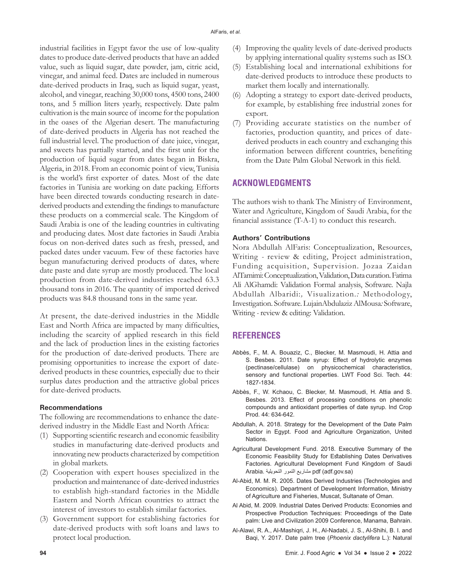industrial facilities in Egypt favor the use of low-quality dates to produce date-derived products that have an added value, such as liquid sugar, date powder, jam, citric acid, vinegar, and animal feed. Dates are included in numerous date-derived products in Iraq, such as liquid sugar, yeast, alcohol, and vinegar, reaching 30,000 tons, 4500 tons, 2400 tons, and 5 million liters yearly, respectively. Date palm cultivation is the main source of income for the population in the oases of the Algerian desert. The manufacturing of date-derived products in Algeria has not reached the full industrial level. The production of date juice, vinegar, and sweets has partially started, and the first unit for the production of liquid sugar from dates began in Biskra, Algeria, in 2018. From an economic point of view, Tunisia is the world's first exporter of dates. Most of the date factories in Tunisia are working on date packing. Efforts have been directed towards conducting research in datederived products and extending the findings to manufacture these products on a commercial scale. The Kingdom of Saudi Arabia is one of the leading countries in cultivating and producing dates. Most date factories in Saudi Arabia focus on non-derived dates such as fresh, pressed, and packed dates under vacuum. Few of these factories have begun manufacturing derived products of dates, where date paste and date syrup are mostly produced. The local production from date-derived industries reached 63.3 thousand tons in 2016. The quantity of imported derived products was 84.8 thousand tons in the same year.

At present, the date-derived industries in the Middle East and North Africa are impacted by many difficulties, including the scarcity of applied research in this field and the lack of production lines in the existing factories for the production of date-derived products. There are promising opportunities to increase the export of datederived products in these countries, especially due to their surplus dates production and the attractive global prices for date-derived products.

#### **Recommendations**

The following are recommendations to enhance the datederived industry in the Middle East and North Africa:

- (1) Supporting scientific research and economic feasibility studies in manufacturing date-derived products and innovating new products characterized by competition in global markets.
- (2) Cooperation with expert houses specialized in the production and maintenance of date-derived industries to establish high-standard factories in the Middle Eastern and North African countries to attract the interest of investors to establish similar factories.
- (3) Government support for establishing factories for date-derived products with soft loans and laws to protect local production.
- (4) Improving the quality levels of date-derived products by applying international quality systems such as ISO.
- (5) Establishing local and international exhibitions for date-derived products to introduce these products to market them locally and internationally.
- (6) Adopting a strategy to export date-derived products, for example, by establishing free industrial zones for export.
- (7) Providing accurate statistics on the number of factories, production quantity, and prices of datederived products in each country and exchanging this information between different countries, benefiting from the Date Palm Global Network in this field.

## **ACKNOWLEDGMENTS**

The authors wish to thank The Ministry of Environment, Water and Agriculture, Kingdom of Saudi Arabia, for the financial assistance (T-A-1) to conduct this research.

## **Authors' Contributions**

Nora Abdullah AlFaris: Conceptualization, Resources, Writing *-* review & editing, Project administration, Funding acquisition, Supervision. Jozaa Zaidan AlTamimi:Conceptualization, Validation, Data curation.Fatima Ali AlGhamdi: Validation Formal analysis, Software. Najla Abdullah Albaridi:*,* Visualization.*:* Methodology, Investigation. Software. LujainAbdulaziz AlMousa*:* Software, Writing *-* review & editing: Validation.

# **REFERENCES**

- Abbès, F., M. A. Bouaziz, C., Blecker, M. Masmoudi, H. Attia and S. Besbes. 2011. Date syrup: Effect of hydrolytic enzymes (pectinase/cellulase) on physicochemical characteristics, sensory and functional properties. LWT Food Sci. Tech. 44: 1827-1834.
- Abbès, F., W. Kchaou, C. Blecker, M. Masmoudi, H. Attia and S. Besbes. 2013. Effect of processing conditions on phenolic compounds and antioxidant properties of date syrup. Ind Crop Prod. 44: 634-642.
- Abdullah, A. 2018. Strategy for the Development of the Date Palm Sector in Egypt. Food and Agriculture Organization, United **Nations**
- Agricultural Development Fund. 2018. Executive Summary of the Economic Feasibility Study for Establishing Dates Derivatives Factories. Agricultural Development Fund Kingdom of Saudi Arabia. التحويلية التمور مشاريع pdf (adf.gov.sa)
- Al-Abid, M. M. R. 2005. Dates Derived Industries (Technologies and Economics). Department of Development Information, Ministry of Agriculture and Fisheries, Muscat, Sultanate of Oman.
- Al Abid, M. 2009. Industrial Dates Derived Products: Economies and Prospective Production Techniques: Proceedings of the Date palm: Live and Civilization 2009 Conference, Manama, Bahrain.
- Al-Alawi, R. A., Al-Mashiqri, J. H., Al-Nadabi, J. S., Al-Shihi, B. I. and Baqi, Y. 2017. Date palm tree (*Phoenix dactylifera* L.): Natural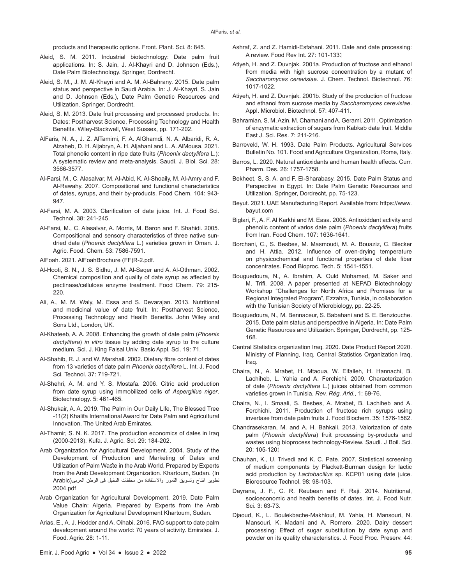products and therapeutic options. Front. Plant. Sci. 8: 845.

- Aleid, S. M. 2011. Industrial biotechnology: Date palm fruit applications. In: S. Jain, J. Al-Khayri and D. Johnson (Eds.), Date Palm Biotechnology. Springer, Dordrecht.
- Aleid, S. M., J. M. Al-Khayri and A. M. Al-Bahrany. 2015. Date palm status and perspective in Saudi Arabia. In: J. Al-Khayri, S. Jain and D. Johnson (Eds.), Date Palm Genetic Resources and Utilization. Springer, Dordrecht.
- Aleid, S. M. 2013. Date fruit processing and processed products. In: Dates: Postharvest Science, Processing Technology and Health Benefits. Wiley-Blackwell, West Sussex, pp. 171-202.
- AlFaris, N. A., J. Z. AlTamimi, F. A. AlGhamdi, N. A. Albaridi, R. A. Alzaheb, D. H. Aljabryn, A. H. Aljahani and L. A. AlMousa. 2021. Total phenolic content in ripe date fruits (*Phoenix dactylifera* L.): A systematic review and meta-analysis. Saudi. J. Biol. Sci. 28: 3566-3577.
- Al-Farsi, M., C. Alasalvar, M. Al-Abid, K. Al-Shoaily, M. Al-Amry and F. Al-Rawahy. 2007. Compositional and functional characteristics of dates, syrups, and their by-products. Food Chem. 104: 943- 947.
- Al-Farsi, M. A. 2003. Clarification of date juice. Int. J. Food Sci. Technol. 38: 241-245.
- Al-Farsi, M., C. Alasalvar, A. Morris, M. Baron and F. Shahidi. 2005. Compositional and sensory characteristics of three native sundried date (*Phoenix dactylifera* L.) varieties grown in Oman. J. Agric. Food. Chem. 53: 7586-7591.
- AlFoah. 2021. AlFoahBrochure (FF)R-2.pdf.
- Al-Hooti, S. N., J. S. Sidhu, J. M. Al-Saqer and A. Al-Othman. 2002. Chemical composition and quality of date syrup as affected by pectinase/cellulose enzyme treatment. Food Chem. 79: 215- 220.
- Ali, A., M. M. Waly, M. Essa and S. Devarajan. 2013. Nutritional and medicinal value of date fruit. In: Postharvest Science, Processing Technology and Health Benefits. John Wiley and Sons Ltd., London, UK.
- Al-Khateeb, A. A. 2008. Enhancing the growth of date palm (*Phoenix dactylifera*) *in vitro* tissue by adding date syrup to the culture medium. Sci. J. King Faisal Univ. Basic Appl. Sci. 19: 71.
- Al-Shahib, R. J. and W. Marshall. 2002. Dietary fibre content of dates from 13 varieties of date palm *Phoenix dactylifera* L. Int. J. Food Sci. Technol. 37: 719-721.
- Al-Shehri, A. M. and Y. S. Mostafa. 2006. Citric acid production from date syrup using immobilized cells of *Aspergillus niger*. Biotechnology. 5: 461-465.
- Al-Shukair, A. A. 2019. The Palm in Our Daily Life, The Blessed Tree -11(2) Khalifa International Award for Date Palm and Agricultural Innovation. The United Arab Emirates.
- Al-Thamir, S. N. K. 2017. The production economics of dates in Iraq (2000-2013). Kufa. J. Agric. Sci. 29: 184-202.
- Arab Organization for Agricultural Development. 2004. Study of the Development of Production and Marketing of Dates and Utilization of Palm Waste in the Arab World. Prepared by Experts from the Arab Development Organization. Khartoum, Sudan. (In تطوير انتاج وتسويق التمور واالستفادة من مخلفات النخيل فى الوطن العربى(Arabic 2004.pdf
- Arab Organization for Agricultural Development. 2019. Date Palm Value Chain: Algeria. Prepared by Experts from the Arab Organization for Agricultural Development Khartoum, Sudan.
- Arias, E., A. J. Hodder and A. Oihabi. 2016. FAO support to date palm development around the world: 70 years of activity. Emirates. J. Food. Agric. 28: 1-11.
- Ashraf, Z. and Z. Hamidi-Esfahani. 2011. Date and date processing: A review. Food Rev Int. 27: 101-133.
- Atiyeh, H. and Z. Duvnjak. 2001a. Production of fructose and ethanol from media with high sucrose concentration by a mutant of *Saccharomyces cerevisiae*. J. Chem. Technol. Biotechnol. 76: 1017-1022.
- Atiyeh, H. and Z. Duvnjak. 2001b. Study of the production of fructose and ethanol from sucrose media by *Saccharomyces cerevisiae*. Appl. Microbiol. Biotechnol. 57: 407-411.
- Bahramian, S. M. Azin, M. Chamani and A. Gerami. 2011. Optimization of enzymatic extraction of sugars from Kabkab date fruit. Middle East J. Sci. Res. 7: 211-216.
- Barreveld, W. H. 1993. Date Palm Products. Agricultural Services Bulletin No. 101. Food and Agriculture Organization, Rome, Italy.
- Barros, L. 2020. Natural antioxidants and human health effects. Curr. Pharm. Des. 26: 1757-1758.
- Bekheet, S, S. A. and F. El-Sharabasy. 2015. Date Palm Status and Perspective in Egypt. In: Date Palm Genetic Resources and Utilization. Springer, Dordrecht, pp. 75-123.
- Beyut. 2021. UAE Manufacturing Report. Available from: https://www. bayut.com
- Biglari, F., A. F. Al Karkhi and M. Easa. 2008. Antioxiddant activity and phenolic content of varios date palm (*Phoenix dactylifera*) fruits from Iran. Food Chem. 107: 1636-1641.
- Borchani, C., S. Besbes, M. Masmoudi, M. A. Bouaziz, C. Blecker and H. Attia. 2012. Influence of oven-drying temperature on physicochemical and functional properties of date fiber concentrates. Food Bioproc. Tech. 5: 1541-1551.
- Bouguedoura, N., A. Ibrahim, A. Ould Mohamed, M. Saker and M. Trifi. 2008. A paper presented at NEPAD Biotechnology Workshop "Challenges for North Africa and Promises for a Regional Integrated Program", Ezzahra, Tunisia, in collaboration with the Tunisian Society of Microbiology, pp. 22-25.
- Bouguedoura, N., M. Bennaceur, S. Babahani and S. E. Benziouche. 2015. Date palm status and perspective in Algeria. In: Date Palm Genetic Resources and Utilization. Springer, Dordrecht, pp. 125- 168.
- Central Statistics organization Iraq. 2020. Date Product Report 2020. Ministry of Planning, Iraq. Central Statistics Organization Iraq, Iraq.
- Chaira, N., A. Mrabet, H. Mtaoua, W. Elfalleh, H. Hannachi, B. Lachiheb, L. Yahia and A. Ferchichi. 2009. Characterization of date (*Phoenix dactylifera* L.) juices obtained from common varieties grown in Tunisia*. Rev. Rég. Arid*., 1: 69-76.
- Chaira, N., I. Smaali, S. Besbes, A. Mrabet, B. Lachiheb and A. Ferchichi. 2011. Production of fructose rich syrups using invertase from date palm fruits J. Food Biochem. 35: 1576-1582.
- Chandrasekaran, M. and A. H. Bahkali. 2013. Valorization of date palm (*Phoenix dactylifera*) fruit processing by-products and wastes using bioprocess technology-Review. Saudi. J Boil. Sci. 20: 105-120.
- Chauhan, K., U. Trivedi and K. C. Pate. 2007. Statistical screening of medium components by Plackett-Burman design for lactic acid production by *Lactobacillus* sp. KCP01 using date juice. Bioresource Technol. 98: 98-103.
- Dayrana, J. F., C. R. Reubean and F. Raji. 2014. Nutritional, socioeconomic and health benefits of dates. Int. J. Food Nutr. Sci. 3: 63-73.
- Djaoud, K., L. Boulekbache-Makhlouf, M. Yahia, H. Mansouri, N. Mansouri, K. Madani and A. Romero. 2020. Dairy dessert processing: Effect of sugar substitution by date syrup and powder on its quality characteristics. J. Food Proc. Preserv. 44: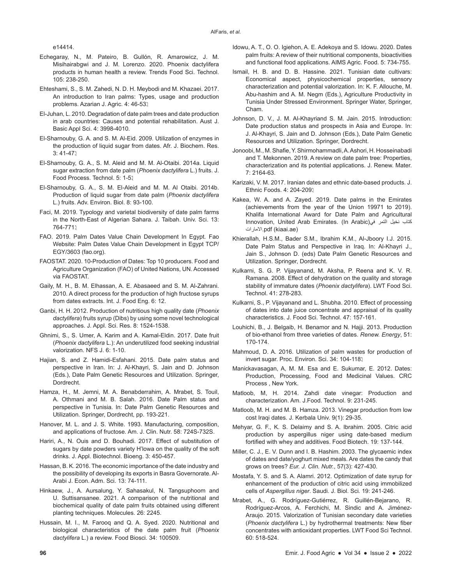e14414.

- Echegaray, N., M. Pateiro, B. Gullón, R. Amarowicz, J. M. Misihairabgwi and J. M. Lorenzo. 2020. Phoenix dactylifera products in human health a review. Trends Food Sci. Technol. 105: 238-250.
- Ehteshami, S., S. M. Zahedi, N. D. H. Meybodi and M. Khazaei. 2017. An introduction to Iran palms: Types, usage and production problems. Azarian J. Agric. 4: 46-53.
- El-Juhan, L. 2010. Degradation of date palm trees and date production in arab countries: Causes and potential rehabilitation. Aust J. Basic Appl Sci. 4: 3998-4010.
- El-Sharnouby, G. A. and S. M. Al-Eid. 2009. Utilization of enzymes in the production of liquid sugar from dates. Afr. J. Biochem. Res.  $3:41-47$
- El-Sharnouby, G. A., S. M. Aleid and M. M. Al-Otaibi. 2014a. Liquid sugar extraction from date palm (*Phoenix dactylifera* L.) fruits. J. Food Process. Technol. 5: 1-5.
- El-Sharnouby, G. A., S. M. El-Aleid and M. M. Al Otaibi. 2014b. Production of liquid sugar from date palm (*Phoenix dactylifera* L.) fruits. Adv. Environ. Biol. 8: 93-100.
- Faci, M. 2019. Typology and varietal biodiversity of date palm farms in the North-East of Algerian Sahara. J. Taibah. Univ. Sci. 13: 764-771.
- FAO. 2019. Palm Dates Value Chain Development In Egypt. Fao Website: Palm Dates Value Chain Development in Egypt TCP/ EGY/3603 (fao.org).
- FAOSTAT. 2020. 10-Production of Dates: Top 10 producers. Food and Agriculture Organization (FAO) of United Nations, UN. Accessed via FAOSTAT.
- Gaily, M. H., B. M. Elhassan, A. E. Abasaeed and S. M. Al-Zahrani. 2010. A direct process for the production of high fructose syrups from dates extracts. Int. J. Food Eng. 6: 12.
- Ganbi, H. H. 2012. Production of nutritious high quality date (*Phoenix dactylifera*) fruits syrup (Dibs) by using some novel technological approaches. J. Appl. Sci. Res. 8: 1524-1538.
- Ghnimi, S., S. Umer, A. Karim and A. Kamal-Eldin. 2017. Date fruit (*Phoenix dactylifera* L.): An underutilized food seeking industrial valorization. NFS J. 6: 1-10.
- Hajian, S. and Z. Hamidi-Esfahani. 2015. Date palm status and perspective in Iran. In: J. Al-Khayri, S. Jain and D. Johnson (Eds.), Date Palm Genetic Resources and Utilization. Springer, **Dordrecht**
- Hamza, H., M. Jemni, M. A. Benabderrahim, A. Mrabet, S. Touil, A. Othmani and M. B. Salah. 2016. Date Palm status and perspective in Tunisia. In: Date Palm Genetic Resources and Utilization. Springer, Dordrecht, pp. 193-221.
- Hanover, M. L. and J. S. White. 1993. Manufacturing, composition, and applications of fructose. Am. J. Clin. Nutr. 58: 724S-732S.
- Hariri, A., N. Ouis and D. Bouhadi. 2017. Effect of substitution of sugars by date powders variety H'lowa on the quality of the soft drinks. J. Appl. Biotechnol. Bioeng. 3: 450-457.
- Hassan, B. K. 2016. The economic importance of the date industry and the possibility of developing its exports in Basra Governorate. Al-Arabi J. Econ. Adm. Sci. 13: 74-111.
- Hinkaew, J., A. Aursalung, Y. Sahasakul, N. Tangsuphoom and U. Suttisansanee. 2021. A comparison of the nutritional and biochemical quality of date palm fruits obtained using different planting techniques. Molecules. 26: 2245.
- Hussain, M. I., M. Farooq and Q. A. Syed. 2020. Nutritional and biological characteristics of the date palm fruit (*Phoenix dactylifera* L.) a review. Food Biosci. 34: 100509.
- Idowu, A. T., O. O. Igiehon, A. E. Adekoya and S. Idowu. 2020. Dates palm fruits: A review of their nutritional components, bioactivities and functional food applications. AIMS Agric. Food. 5: 734-755.
- Ismail, H. B. and D. B. Hassine. 2021. Tunisian date cultivars: Economical aspect, physicochemical properties, sensory characterization and potential valorization. In: K. F. Allouche, M. Abu-hashim and A. M. Negm (Eds.), Agriculture Productivity in Tunisia Under Stressed Environment. Springer Water, Springer, Cham.
- Johnson, D. V., J. M. Al-Khayriand S. M. Jain. 2015. Introduction: Date production status and prospects in Asia and Europe. In: J. Al-Khayri, S. Jain and D. Johnson (Eds.), Date Palm Genetic Resources and Utilization. Springer, Dordrecht.
- Jonoobi, M., M. Shafie, Y. Shirmohammadli, A. Ashori, H. Hosseinabadi and T. Mekonnen. 2019. A review on date palm tree: Properties, characterization and its potential applications. J. Renew. Mater. 7: 2164-63.
- Karizaki, V. M. 2017. Iranian dates and ethnic date-based products. J. Ethnic Foods. 4: 204-209.
- Kakea, W. A. and A. Zayed. 2019. Date palms in the Emirates (achievements from the year of the Union 19971 to 2019). Khalifa International Award for Date Palm and Agricultural Innovation, United Arab Emirates. (In Arabic)في التمر نخيل كتاب االمارات.pdf (kiaai.ae)
- Khierallah, H.S.M., Bader S.M., Ibrahim K.M., Al-Jboory I.J. 2015. Date Palm Status and Perspective in Iraq. In: Al-Khayri J., Jain S., Johnson D. (eds) Date Palm Genetic Resources and Utilization. Springer, Dordrecht.
- Kulkarni, S. G. P. Vijayanand, M. Aksha, P. Reena and K. V. R. Ramana. 2008. Effect of dehydration on the quality and storage stability of immature dates (*Phoenix dactylifera*). LWT Food Sci. Technol. 41: 278-283.
- Kulkarni, S., P. Vijayanand and L. Shubha. 2010. Effect of processing of dates into date juice concentrate and appraisal of its quality characteristics. J. Food Sci. Technol. 47: 157-161.
- Louhichi, B., J. Belgaib, H. Benamor and N. Hajji. 2013. Production of bio-ethanol from three varieties of dates. *Renew. Energy*, 51: 170-174.
- Mahmoud, D. A. 2016. Utilization of palm wastes for production of invert sugar. Proc. Environ. Sci. 34: 104-118.
- Manickavasagan, A, M. M. Esa and E. Sukumar, E. 2012. Dates: Production, Processing, Food and Medicinal Values. CRC Process , New York.
- Matloob, M, H. 2014. Zahdi date vinegar: Production and characterization. Am. J.Food. Technol. 9: 231-245.
- Matloob, M. H. and M. B. Hamza. 2013. Vinegar production from low cost Iraqi dates. J. Kerbala Univ. 9(1): 29-35.
- Mehyar, G. F., K. S. Delaimy and S. A. Ibrahim. 2005. Citric acid production by aspergillus niger using date-based medium fortified with whey and additives. Food Biotech. 19: 137-144.
- Miller, C. J., E. V. Dunn and I. B. Hashim. 2003. The glycaemic index of dates and date/yoghurt mixed meals. Are dates the candy that grows on trees? *Eur. J. Clin. Nutr.*, 57(3): 427-430.
- Mostafa, Y. S. and S. A. Alamri. 2012. Optimization of date syrup for enhancement of the production of citric acid using immobilized cells of *Aspergillus niger*. Saudi. J. Biol. Sci*.* 19: 241-246.
- Mrabet, A., G. Rodríguez-Gutiérrez, R. Guillén-Bejarano, R. Rodríguez-Arcos, A. Ferchichi, M. Sindic and A. Jiménez-Araujo. 2015. Valorization of Tunisian secondary date varieties (*Phoenix dactylifera* L.) by hydrothermal treatments: New fiber concentrates with antioxidant properties. LWT Food Sci Technol. 60: 518-524.